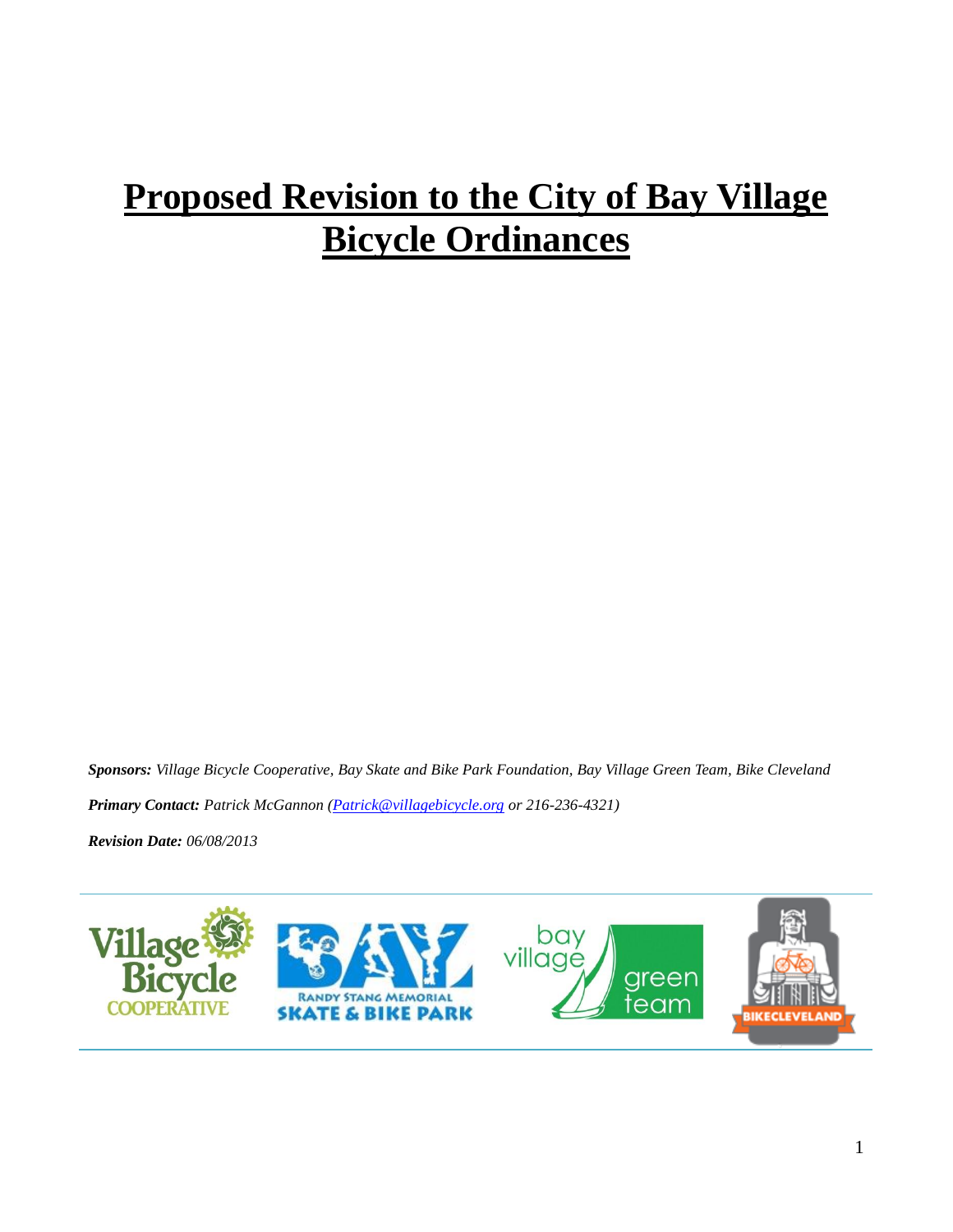# **Proposed Revision to the City of Bay Village Bicycle Ordinances**

*Sponsors: Village Bicycle Cooperative, Bay Skate and Bike Park Foundation, Bay Village Green Team, Bike Cleveland*

*Primary Contact: Patrick McGannon* (*Patrick@villagebicycle.org or 216-236-4321*)

*Revision Date: 06/08/2013*

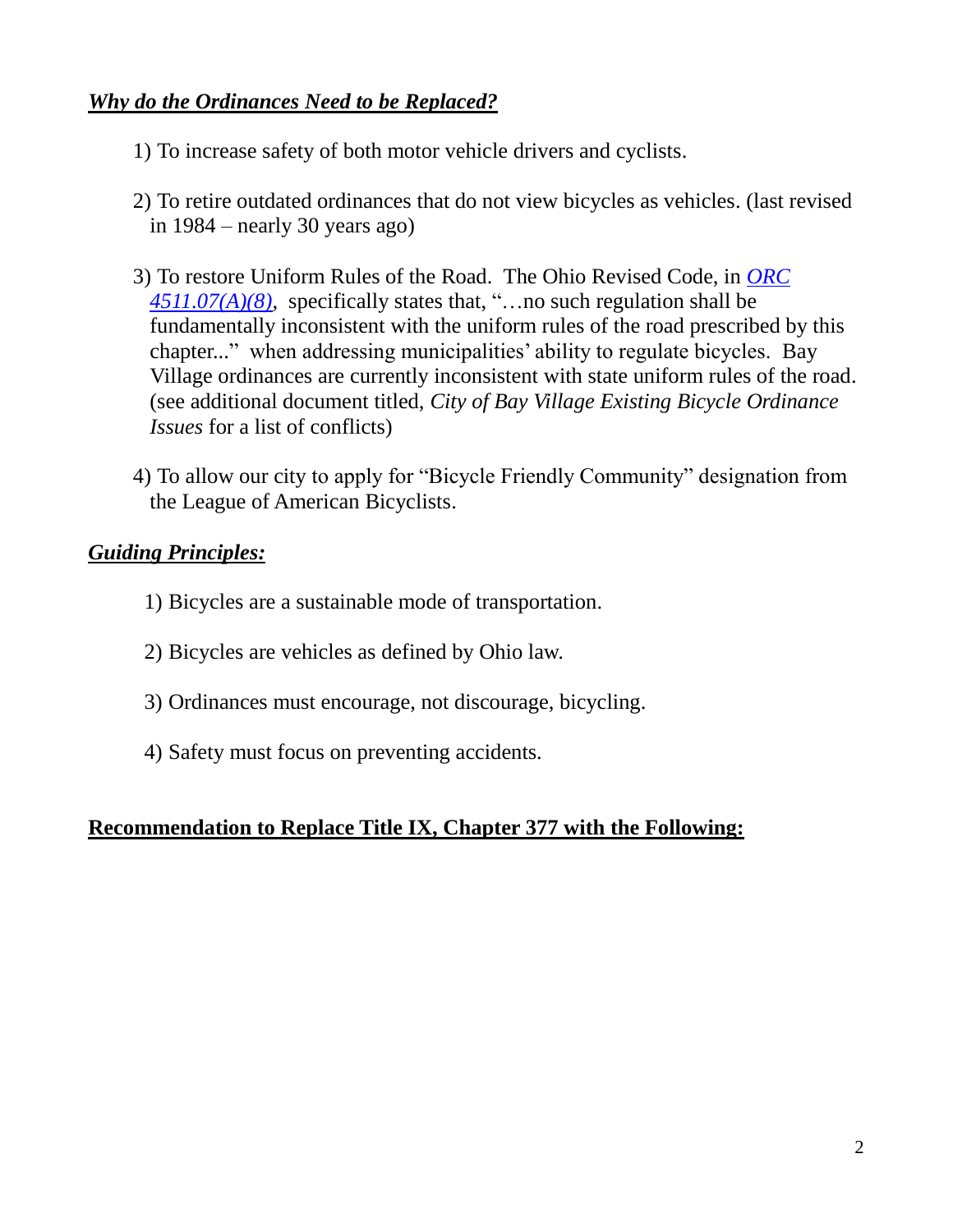#### *Why do the Ordinances Need to be Replaced?*

- 1) To increase safety of both motor vehicle drivers and cyclists.
- 2) To retire outdated ordinances that do not view bicycles as vehicles. (last revised in 1984 – nearly 30 years ago)
- 3) To restore Uniform Rules of the Road. The Ohio Revised Code, in *[ORC](http://codes.ohio.gov/orc/4511.07)  [4511.07\(A\)\(8\),](http://codes.ohio.gov/orc/4511.07)* specifically states that, "…no such regulation shall be fundamentally inconsistent with the uniform rules of the road prescribed by this chapter..." when addressing municipalities' ability to regulate bicycles. Bay Village ordinances are currently inconsistent with state uniform rules of the road. (see additional document titled, *City of Bay Village Existing Bicycle Ordinance Issues* for a list of conflicts)
- 4) To allow our city to apply for "Bicycle Friendly Community" designation from the League of American Bicyclists.

#### *Guiding Principles:*

- 1) Bicycles are a sustainable mode of transportation.
- 2) Bicycles are vehicles as defined by Ohio law.
- 3) Ordinances must encourage, not discourage, bicycling.
- 4) Safety must focus on preventing accidents.

#### **Recommendation to Replace Title IX, Chapter 377 with the Following:**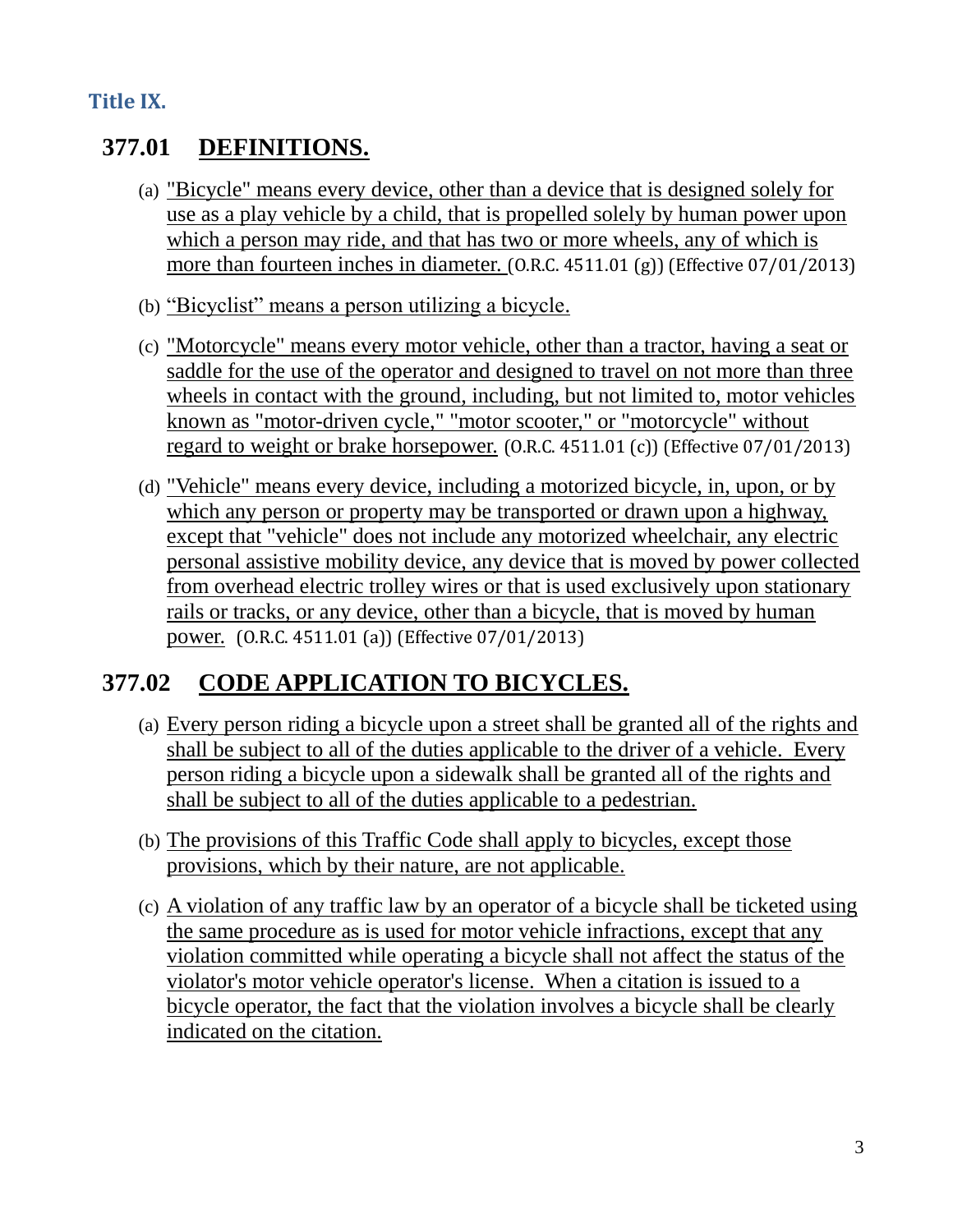#### **Title IX.**

### **377.01 DEFINITIONS.**

- (a) "Bicycle" means every device, other than a device that is designed solely for use as a play vehicle by a child, that is propelled solely by human power upon which a person may ride, and that has two or more wheels, any of which is more than fourteen inches in diameter. (O.R.C. 4511.01 (g)) (Effective 07/01/2013)
- (b) "Bicyclist" means a person utilizing a bicycle.
- (c) "Motorcycle" means every motor vehicle, other than a tractor, having a seat or saddle for the use of the operator and designed to travel on not more than three wheels in contact with the ground, including, but not limited to, motor vehicles known as "motor-driven cycle," "motor scooter," or "motorcycle" without regard to weight or brake horsepower. (O.R.C. 4511.01 (c)) (Effective 07/01/2013)
- (d) "Vehicle" means every device, including a motorized bicycle, in, upon, or by which any person or property may be transported or drawn upon a highway, except that "vehicle" does not include any motorized wheelchair, any electric personal assistive mobility device, any device that is moved by power collected from overhead electric trolley wires or that is used exclusively upon stationary rails or tracks, or any device, other than a bicycle, that is moved by human power. (O.R.C. 4511.01 (a)) (Effective 07/01/2013)

### **377.02 CODE APPLICATION TO BICYCLES.**

- (a) Every person riding a bicycle upon a street shall be granted all of the rights and shall be subject to all of the duties applicable to the driver of a vehicle. Every person riding a bicycle upon a sidewalk shall be granted all of the rights and shall be subject to all of the duties applicable to a pedestrian.
- (b) The provisions of this Traffic Code shall apply to bicycles, except those provisions, which by their nature, are not applicable.
- (c) A violation of any traffic law by an operator of a bicycle shall be ticketed using the same procedure as is used for motor vehicle infractions, except that any violation committed while operating a bicycle shall not affect the status of the violator's motor vehicle operator's license. When a citation is issued to a bicycle operator, the fact that the violation involves a bicycle shall be clearly indicated on the citation.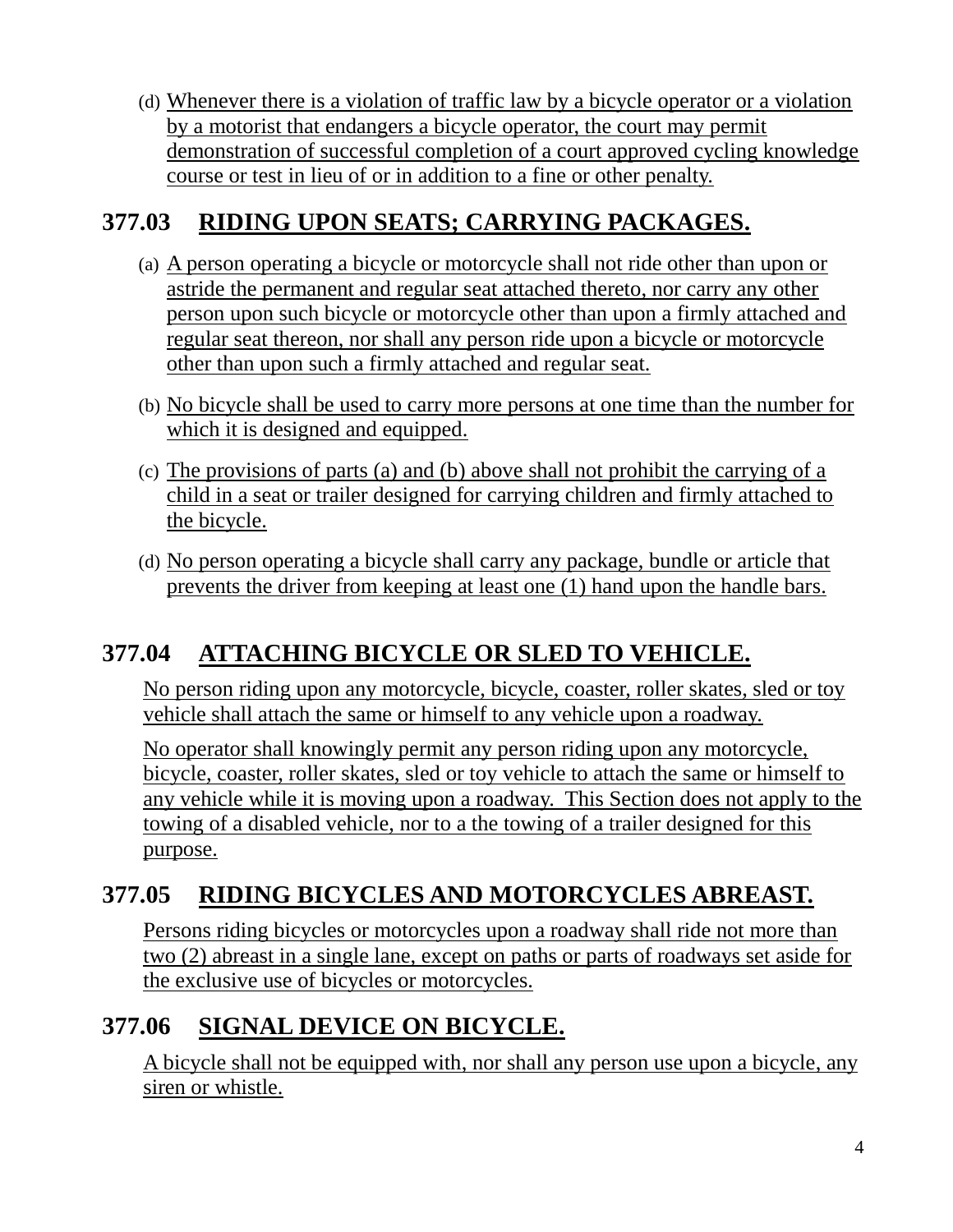(d) Whenever there is a violation of traffic law by a bicycle operator or a violation by a motorist that endangers a bicycle operator, the court may permit demonstration of successful completion of a court approved cycling knowledge course or test in lieu of or in addition to a fine or other penalty.

#### **377.03 RIDING UPON SEATS; CARRYING PACKAGES.**

- (a) A person operating a bicycle or motorcycle shall not ride other than upon or astride the permanent and regular seat attached thereto, nor carry any other person upon such bicycle or motorcycle other than upon a firmly attached and regular seat thereon, nor shall any person ride upon a bicycle or motorcycle other than upon such a firmly attached and regular seat.
- (b) No bicycle shall be used to carry more persons at one time than the number for which it is designed and equipped.
- (c) The provisions of parts (a) and (b) above shall not prohibit the carrying of a child in a seat or trailer designed for carrying children and firmly attached to the bicycle.
- (d) No person operating a bicycle shall carry any package, bundle or article that prevents the driver from keeping at least one (1) hand upon the handle bars.

### **377.04 ATTACHING BICYCLE OR SLED TO VEHICLE.**

No person riding upon any motorcycle, bicycle, coaster, roller skates, sled or toy vehicle shall attach the same or himself to any vehicle upon a roadway.

No operator shall knowingly permit any person riding upon any motorcycle, bicycle, coaster, roller skates, sled or toy vehicle to attach the same or himself to any vehicle while it is moving upon a roadway. This Section does not apply to the towing of a disabled vehicle, nor to a the towing of a trailer designed for this purpose.

#### **377.05 RIDING BICYCLES AND MOTORCYCLES ABREAST.**

Persons riding bicycles or motorcycles upon a roadway shall ride not more than two (2) abreast in a single lane, except on paths or parts of roadways set aside for the exclusive use of bicycles or motorcycles.

### **377.06 SIGNAL DEVICE ON BICYCLE.**

A bicycle shall not be equipped with, nor shall any person use upon a bicycle, any siren or whistle.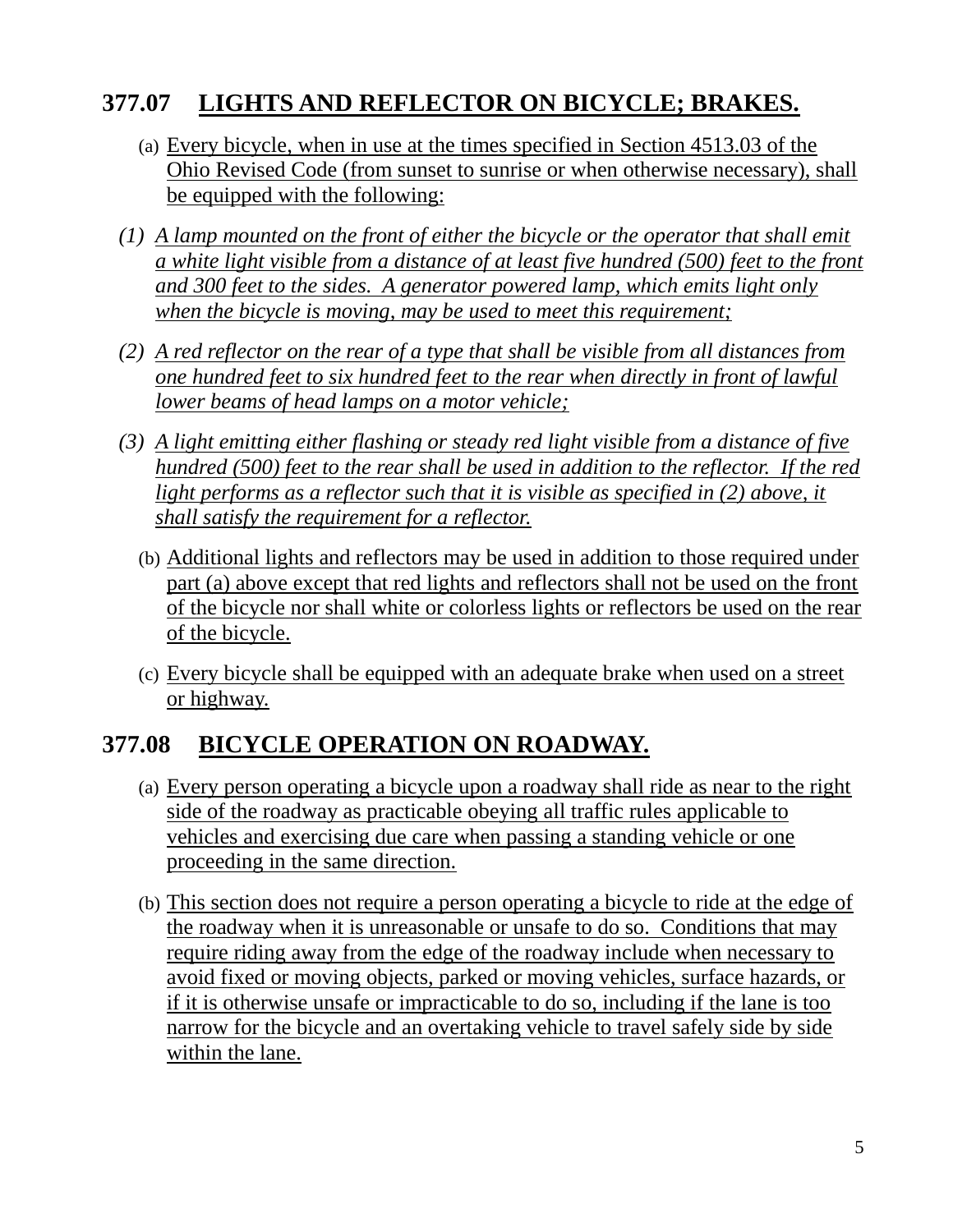#### **377.07 LIGHTS AND REFLECTOR ON BICYCLE; BRAKES.**

- (a) Every bicycle, when in use at the times specified in Section 4513.03 of the Ohio Revised Code (from sunset to sunrise or when otherwise necessary), shall be equipped with the following:
- *(1) A lamp mounted on the front of either the bicycle or the operator that shall emit a white light visible from a distance of at least five hundred (500) feet to the front and 300 feet to the sides. A generator powered lamp, which emits light only when the bicycle is moving, may be used to meet this requirement;*
- *(2) A red reflector on the rear of a type that shall be visible from all distances from one hundred feet to six hundred feet to the rear when directly in front of lawful lower beams of head lamps on a motor vehicle;*
- *(3) A light emitting either flashing or steady red light visible from a distance of five hundred (500) feet to the rear shall be used in addition to the reflector. If the red*  light performs as a reflector such that it is visible as specified in (2) above, it *shall satisfy the requirement for a reflector.*
	- (b) Additional lights and reflectors may be used in addition to those required under part (a) above except that red lights and reflectors shall not be used on the front of the bicycle nor shall white or colorless lights or reflectors be used on the rear of the bicycle.
	- (c) Every bicycle shall be equipped with an adequate brake when used on a street or highway.

#### **377.08 BICYCLE OPERATION ON ROADWAY.**

- (a) Every person operating a bicycle upon a roadway shall ride as near to the right side of the roadway as practicable obeying all traffic rules applicable to vehicles and exercising due care when passing a standing vehicle or one proceeding in the same direction.
- (b) This section does not require a person operating a bicycle to ride at the edge of the roadway when it is unreasonable or unsafe to do so. Conditions that may require riding away from the edge of the roadway include when necessary to avoid fixed or moving objects, parked or moving vehicles, surface hazards, or if it is otherwise unsafe or impracticable to do so, including if the lane is too narrow for the bicycle and an overtaking vehicle to travel safely side by side within the lane.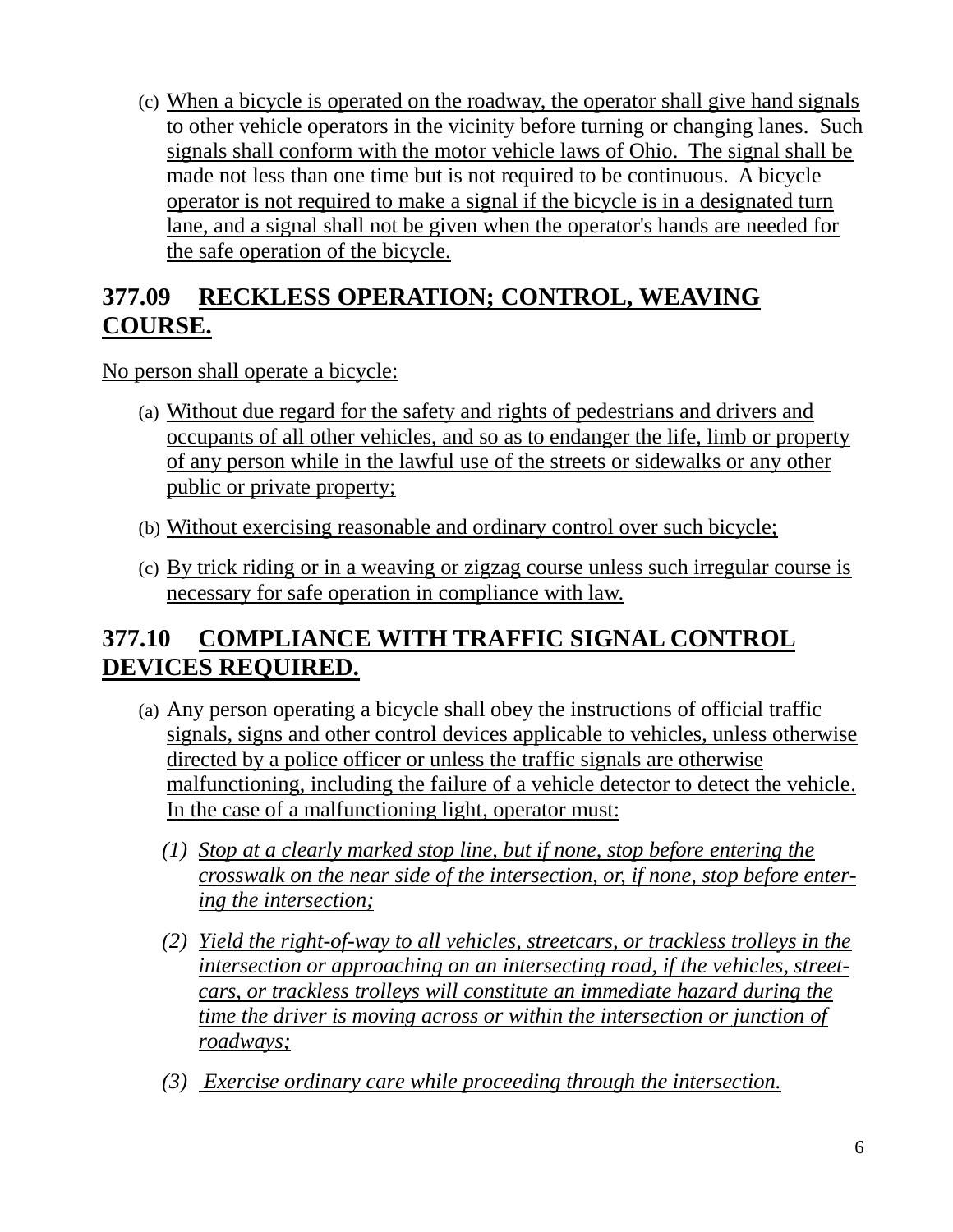(c) When a bicycle is operated on the roadway, the operator shall give hand signals to other vehicle operators in the vicinity before turning or changing lanes. Such signals shall conform with the motor vehicle laws of Ohio. The signal shall be made not less than one time but is not required to be continuous. A bicycle operator is not required to make a signal if the bicycle is in a designated turn lane, and a signal shall not be given when the operator's hands are needed for the safe operation of the bicycle.

#### **377.09 RECKLESS OPERATION; CONTROL, WEAVING COURSE.**

No person shall operate a bicycle:

- (a) Without due regard for the safety and rights of pedestrians and drivers and occupants of all other vehicles, and so as to endanger the life, limb or property of any person while in the lawful use of the streets or sidewalks or any other public or private property;
- (b) Without exercising reasonable and ordinary control over such bicycle;
- (c) By trick riding or in a weaving or zigzag course unless such irregular course is necessary for safe operation in compliance with law.

### **377.10 COMPLIANCE WITH TRAFFIC SIGNAL CONTROL DEVICES REQUIRED.**

- (a) Any person operating a bicycle shall obey the instructions of official traffic signals, signs and other control devices applicable to vehicles, unless otherwise directed by a police officer or unless the traffic signals are otherwise malfunctioning, including the failure of a vehicle detector to detect the vehicle. In the case of a malfunctioning light, operator must:
	- *(1) Stop at a clearly marked stop line, but if none, stop before entering the crosswalk on the near side of the intersection, or, if none, stop before entering the intersection;*
	- *(2) Yield the right-of-way to all vehicles, streetcars, or trackless trolleys in the intersection or approaching on an intersecting road, if the vehicles, streetcars, or trackless trolleys will constitute an immediate hazard during the time the driver is moving across or within the intersection or junction of roadways;*
	- *(3) Exercise ordinary care while proceeding through the intersection.*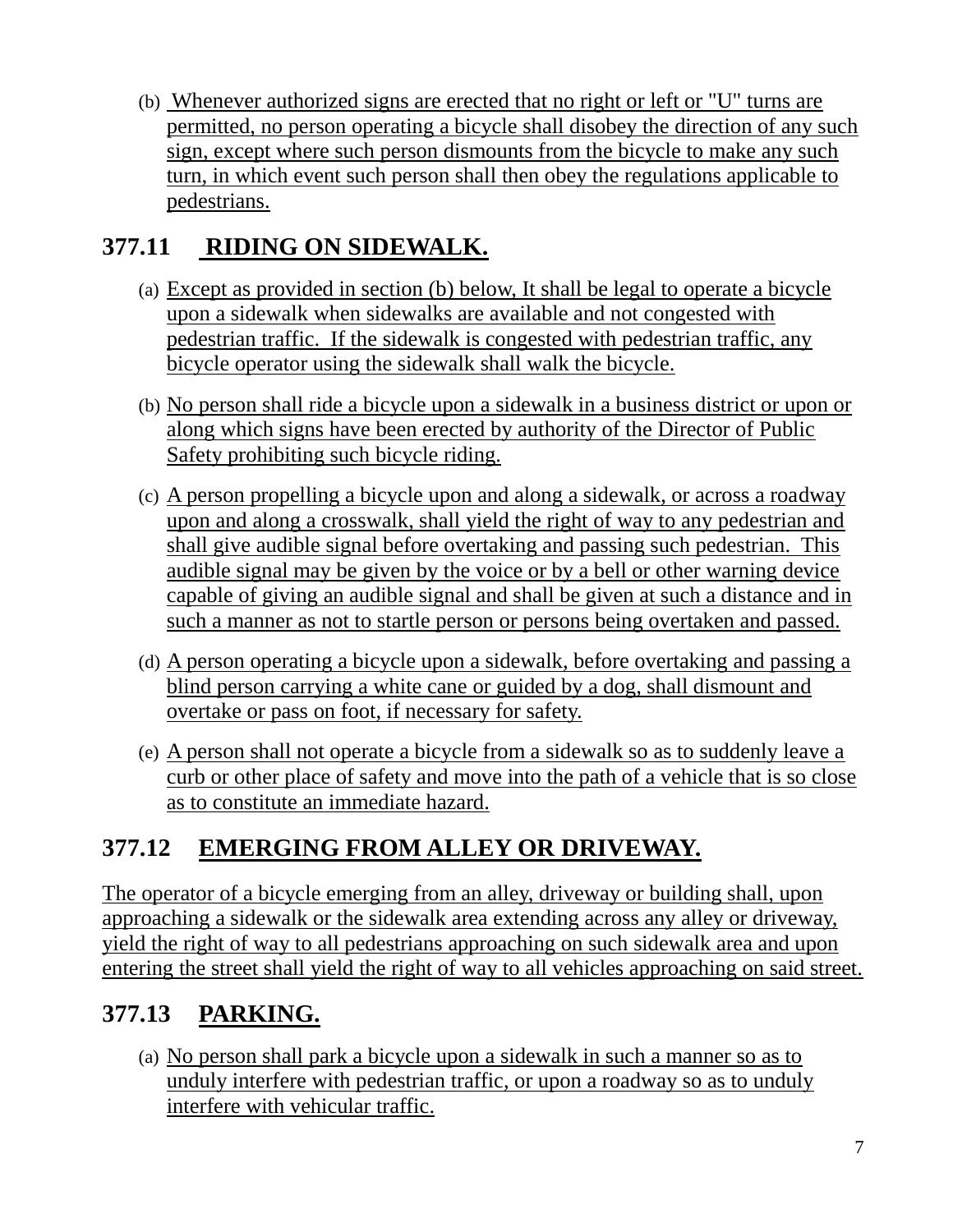(b) Whenever authorized signs are erected that no right or left or "U" turns are permitted, no person operating a bicycle shall disobey the direction of any such sign, except where such person dismounts from the bicycle to make any such turn, in which event such person shall then obey the regulations applicable to pedestrians.

#### **377.11 RIDING ON SIDEWALK.**

- (a) Except as provided in section (b) below, It shall be legal to operate a bicycle upon a sidewalk when sidewalks are available and not congested with pedestrian traffic. If the sidewalk is congested with pedestrian traffic, any bicycle operator using the sidewalk shall walk the bicycle.
- (b) No person shall ride a bicycle upon a sidewalk in a business district or upon or along which signs have been erected by authority of the Director of Public Safety prohibiting such bicycle riding.
- (c) A person propelling a bicycle upon and along a sidewalk, or across a roadway upon and along a crosswalk, shall yield the right of way to any pedestrian and shall give audible signal before overtaking and passing such pedestrian. This audible signal may be given by the voice or by a bell or other warning device capable of giving an audible signal and shall be given at such a distance and in such a manner as not to startle person or persons being overtaken and passed.
- (d) A person operating a bicycle upon a sidewalk, before overtaking and passing a blind person carrying a white cane or guided by a dog, shall dismount and overtake or pass on foot, if necessary for safety.
- (e) A person shall not operate a bicycle from a sidewalk so as to suddenly leave a curb or other place of safety and move into the path of a vehicle that is so close as to constitute an immediate hazard.

### **377.12 EMERGING FROM ALLEY OR DRIVEWAY.**

The operator of a bicycle emerging from an alley, driveway or building shall, upon approaching a sidewalk or the sidewalk area extending across any alley or driveway, yield the right of way to all pedestrians approaching on such sidewalk area and upon entering the street shall yield the right of way to all vehicles approaching on said street.

### **377.13 PARKING.**

(a) No person shall park a bicycle upon a sidewalk in such a manner so as to unduly interfere with pedestrian traffic, or upon a roadway so as to unduly interfere with vehicular traffic.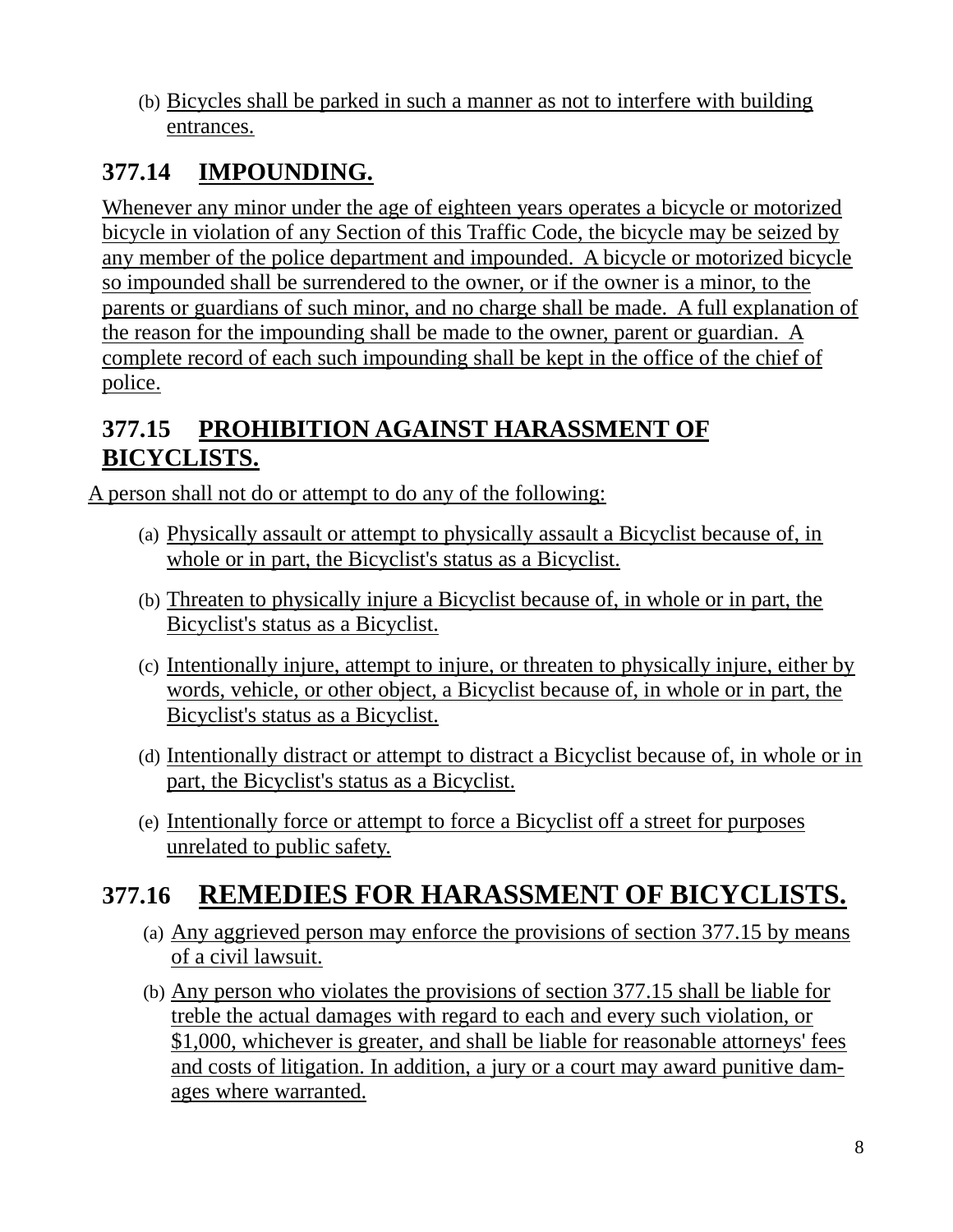(b) Bicycles shall be parked in such a manner as not to interfere with building entrances.

### **377.14 IMPOUNDING.**

Whenever any minor under the age of eighteen years operates a bicycle or motorized bicycle in violation of any Section of this Traffic Code, the bicycle may be seized by any member of the police department and impounded. A bicycle or motorized bicycle so impounded shall be surrendered to the owner, or if the owner is a minor, to the parents or guardians of such minor, and no charge shall be made. A full explanation of the reason for the impounding shall be made to the owner, parent or guardian. A complete record of each such impounding shall be kept in the office of the chief of police.

### **377.15 PROHIBITION AGAINST HARASSMENT OF BICYCLISTS.**

A person shall not do or attempt to do any of the following:

- (a) Physically assault or attempt to physically assault a Bicyclist because of, in whole or in part, the Bicyclist's status as a Bicyclist.
- (b) Threaten to physically injure a Bicyclist because of, in whole or in part, the Bicyclist's status as a Bicyclist.
- (c) Intentionally injure, attempt to injure, or threaten to physically injure, either by words, vehicle, or other object, a Bicyclist because of, in whole or in part, the Bicyclist's status as a Bicyclist.
- (d) Intentionally distract or attempt to distract a Bicyclist because of, in whole or in part, the Bicyclist's status as a Bicyclist.
- (e) Intentionally force or attempt to force a Bicyclist off a street for purposes unrelated to public safety.

## **377.16 REMEDIES FOR HARASSMENT OF BICYCLISTS.**

- (a) Any aggrieved person may enforce the provisions of section 377.15 by means of a civil lawsuit.
- (b) Any person who violates the provisions of section 377.15 shall be liable for treble the actual damages with regard to each and every such violation, or \$1,000, whichever is greater, and shall be liable for reasonable attorneys' fees and costs of litigation. In addition, a jury or a court may award punitive damages where warranted.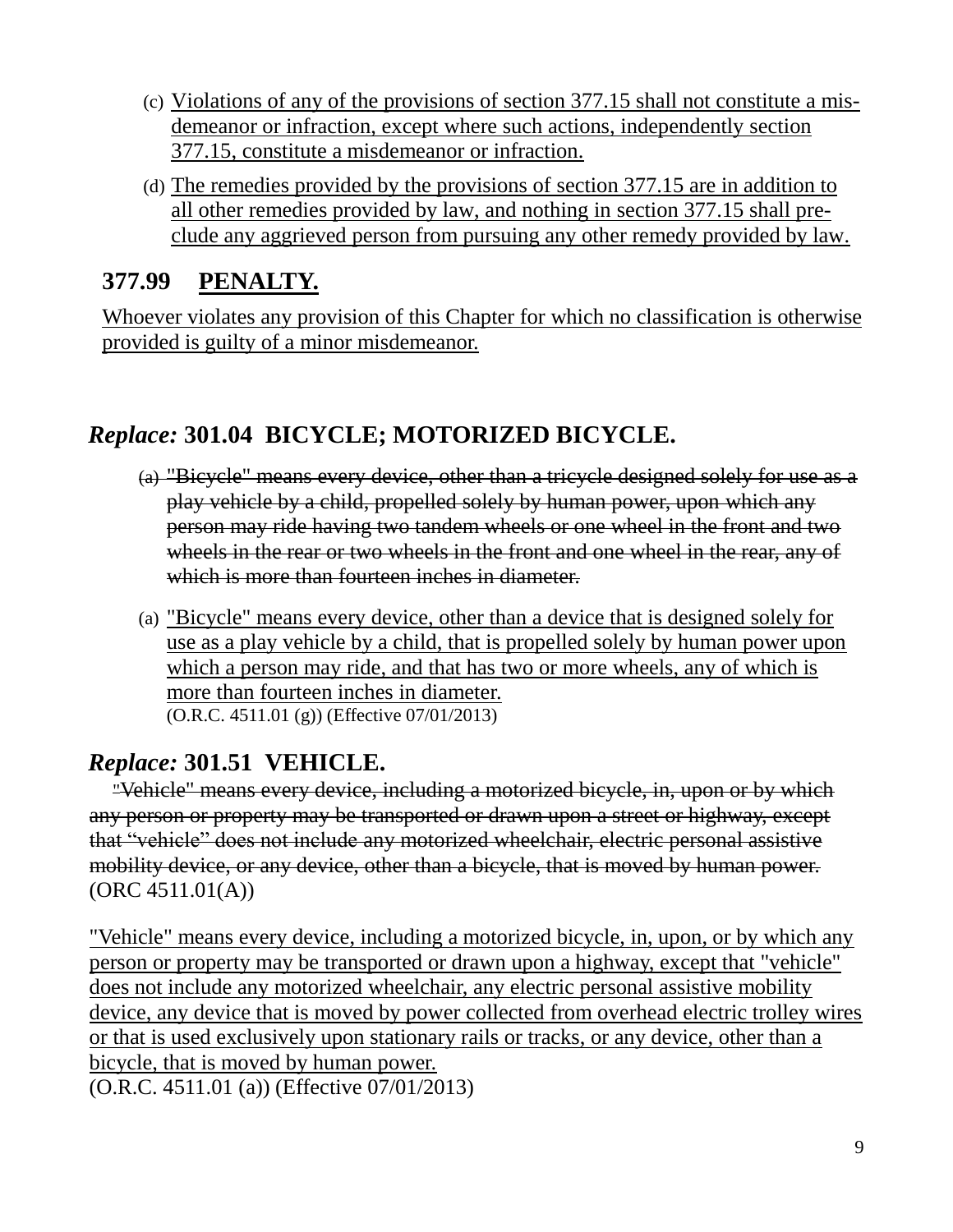- (c) Violations of any of the provisions of section 377.15 shall not constitute a misdemeanor or infraction, except where such actions, independently section 377.15, constitute a misdemeanor or infraction.
- (d) The remedies provided by the provisions of section 377.15 are in addition to all other remedies provided by law, and nothing in section 377.15 shall preclude any aggrieved person from pursuing any other remedy provided by law.

#### **377.99 PENALTY.**

Whoever violates any provision of this Chapter for which no classification is otherwise provided is guilty of a minor misdemeanor.

#### *Replace:* **301.04 BICYCLE; MOTORIZED BICYCLE.**

- (a) "Bicycle" means every device, other than a tricycle designed solely for use as a play vehicle by a child, propelled solely by human power, upon which any person may ride having two tandem wheels or one wheel in the front and two wheels in the rear or two wheels in the front and one wheel in the rear, any of which is more than fourteen inches in diameter.
- (a) "Bicycle" means every device, other than a device that is designed solely for use as a play vehicle by a child, that is propelled solely by human power upon which a person may ride, and that has two or more wheels, any of which is more than fourteen inches in diameter. (O.R.C. 4511.01 (g)) (Effective 07/01/2013)

#### *Replace:* **301.51 VEHICLE.**

"Vehicle" means every device, including a motorized bicycle, in, upon or by which any person or property may be transported or drawn upon a street or highway, except that "vehicle" does not include any motorized wheelchair, electric personal assistive mobility device, or any device, other than a bicycle, that is moved by human power. (ORC 4511.01(A))

"Vehicle" means every device, including a motorized bicycle, in, upon, or by which any person or property may be transported or drawn upon a highway, except that "vehicle" does not include any motorized wheelchair, any electric personal assistive mobility device, any device that is moved by power collected from overhead electric trolley wires or that is used exclusively upon stationary rails or tracks, or any device, other than a bicycle, that is moved by human power.

(O.R.C. 4511.01 (a)) (Effective 07/01/2013)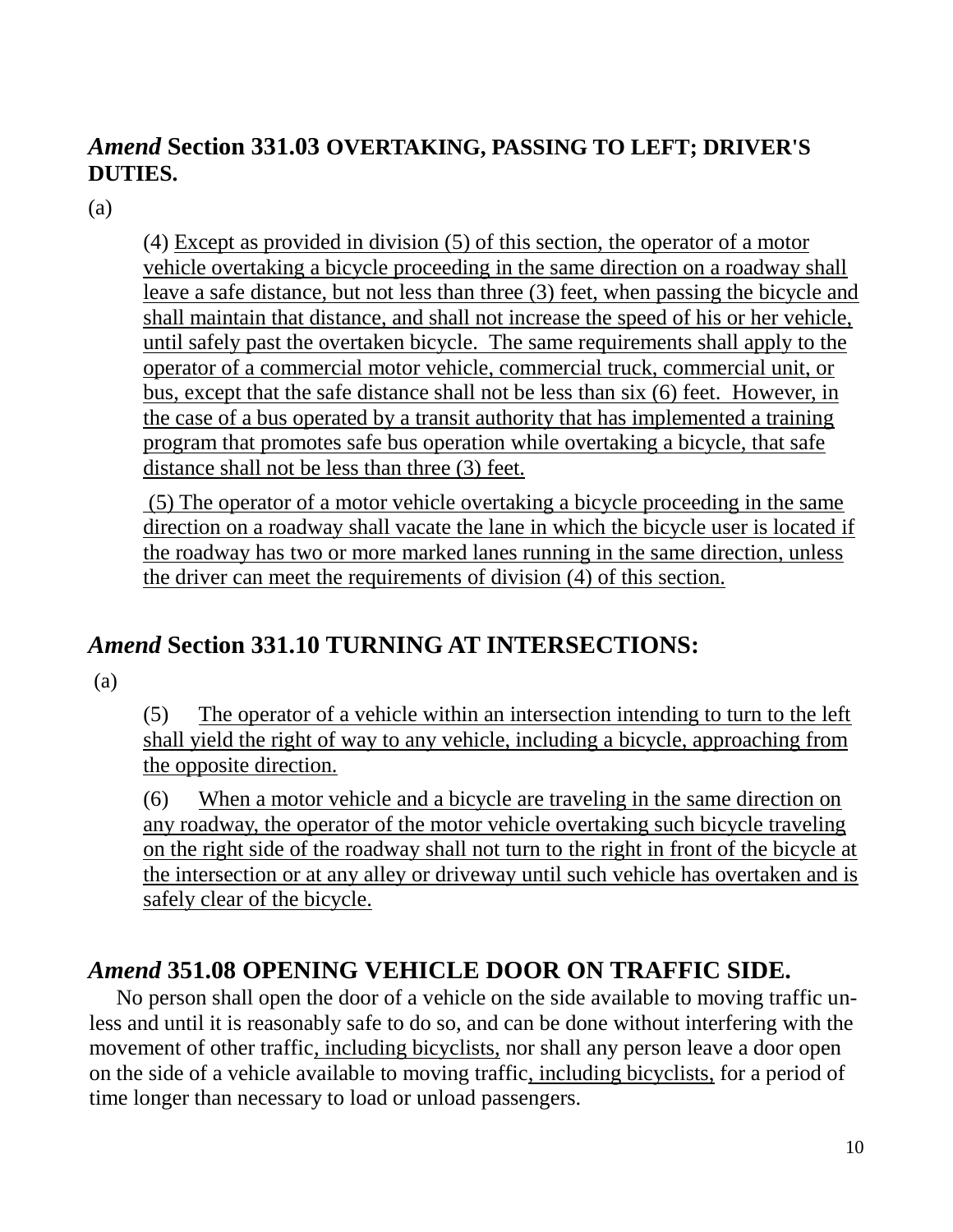#### *Amend* **Section 331.03 OVERTAKING, PASSING TO LEFT; DRIVER'S DUTIES.**

(a)

(4) Except as provided in division (5) of this section, the operator of a motor vehicle overtaking a bicycle proceeding in the same direction on a roadway shall leave a safe distance, but not less than three (3) feet, when passing the bicycle and shall maintain that distance, and shall not increase the speed of his or her vehicle, until safely past the overtaken bicycle. The same requirements shall apply to the operator of a commercial motor vehicle, commercial truck, commercial unit, or bus, except that the safe distance shall not be less than six (6) feet. However, in the case of a bus operated by a transit authority that has implemented a training program that promotes safe bus operation while overtaking a bicycle, that safe distance shall not be less than three (3) feet.

(5) The operator of a motor vehicle overtaking a bicycle proceeding in the same direction on a roadway shall vacate the lane in which the bicycle user is located if the roadway has two or more marked lanes running in the same direction, unless the driver can meet the requirements of division (4) of this section.

#### *Amend* **Section 331.10 TURNING AT INTERSECTIONS:**

(a)

(5) The operator of a vehicle within an intersection intending to turn to the left shall yield the right of way to any vehicle, including a bicycle, approaching from the opposite direction.

(6) When a motor vehicle and a bicycle are traveling in the same direction on any roadway, the operator of the motor vehicle overtaking such bicycle traveling on the right side of the roadway shall not turn to the right in front of the bicycle at the intersection or at any alley or driveway until such vehicle has overtaken and is safely clear of the bicycle.

#### *Amend* **351.08 OPENING VEHICLE DOOR ON TRAFFIC SIDE.**

No person shall open the door of a vehicle on the side available to moving traffic unless and until it is reasonably safe to do so, and can be done without interfering with the movement of other traffic, including bicyclists, nor shall any person leave a door open on the side of a vehicle available to moving traffic, including bicyclists, for a period of time longer than necessary to load or unload passengers.